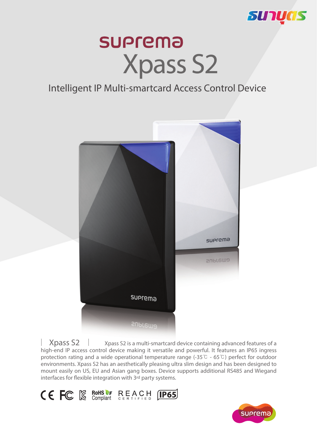

# **SUPrema Xpass S2**

### Intelligent IP Multi-smartcard Access Control Device



 Xpass S2 is a multi-smartcard device containing advanced features of a high-end IP access control device making it versatile and powerful. It features an IP65 ingress protection rating and a wide operational temperature range (-35 $\degree$ C - 65 $\degree$ C) perfect for outdoor environments. Xpass S2 has an aesthetically pleasing ultra slim design and has been designed to mount easily on US, EU and Asian gang boxes. Device supports additional RS485 and Wiegand interfaces for flexible integration with 3rd party systems. **Xpass S2**